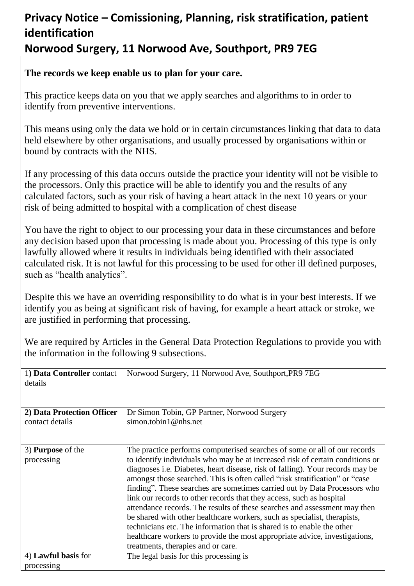## **Privacy Notice – Comissioning, Planning, risk stratification, patient identification Norwood Surgery, 11 Norwood Ave, Southport, PR9 7EG**

#### **The records we keep enable us to plan for your care.**

This practice keeps data on you that we apply searches and algorithms to in order to identify from preventive interventions.

This means using only the data we hold or in certain circumstances linking that data to data held elsewhere by other organisations, and usually processed by organisations within or bound by contracts with the NHS.

If any processing of this data occurs outside the practice your identity will not be visible to the processors. Only this practice will be able to identify you and the results of any calculated factors, such as your risk of having a heart attack in the next 10 years or your risk of being admitted to hospital with a complication of chest disease

You have the right to object to our processing your data in these circumstances and before any decision based upon that processing is made about you. Processing of this type is only lawfully allowed where it results in individuals being identified with their associated calculated risk. It is not lawful for this processing to be used for other ill defined purposes, such as "health analytics".

Despite this we have an overriding responsibility to do what is in your best interests. If we identify you as being at significant risk of having, for example a heart attack or stroke, we are justified in performing that processing.

the information in the following 9 subsections. 1**) Data Controller** contact details Norwood Surgery, 11 Norwood Ave, Southport,PR9 7EG

We are required by Articles in the General Data Protection Regulations to provide you with

| 2) Data Protection Officer | Dr Simon Tobin, GP Partner, Norwood Surgery                                   |
|----------------------------|-------------------------------------------------------------------------------|
| contact details            | simon.tobin1@nhs.net                                                          |
|                            |                                                                               |
|                            |                                                                               |
| 3) <b>Purpose</b> of the   | The practice performs computerised searches of some or all of our records     |
| processing                 | to identify individuals who may be at increased risk of certain conditions or |
|                            | diagnoses i.e. Diabetes, heart disease, risk of falling). Your records may be |
|                            | amongst those searched. This is often called "risk stratification" or "case   |
|                            | finding". These searches are sometimes carried out by Data Processors who     |
|                            | link our records to other records that they access, such as hospital          |
|                            | attendance records. The results of these searches and assessment may then     |
|                            | be shared with other healthcare workers, such as specialist, therapists,      |
|                            | technicians etc. The information that is shared is to enable the other        |
|                            | healthcare workers to provide the most appropriate advice, investigations,    |
|                            | treatments, therapies and or care.                                            |
| 4) Lawful basis for        | The legal basis for this processing is                                        |
| processing                 |                                                                               |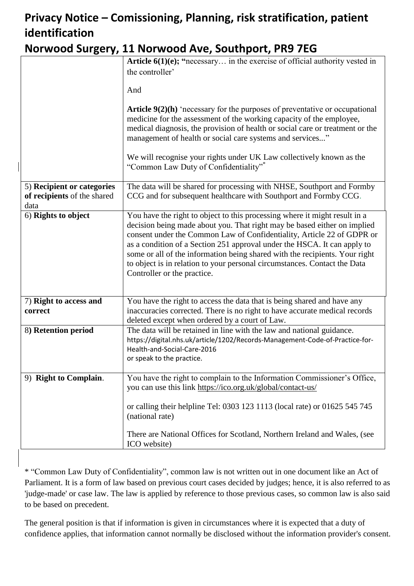# **Privacy Notice – Comissioning, Planning, risk stratification, patient identification**

### **Norwood Surgery, 11 Norwood Ave, Southport, PR9 7EG**

|                             | Article $6(1)(e)$ ; "necessary in the exercise of official authority vested in                                                                                                                                                                                                                                                                                                                                            |
|-----------------------------|---------------------------------------------------------------------------------------------------------------------------------------------------------------------------------------------------------------------------------------------------------------------------------------------------------------------------------------------------------------------------------------------------------------------------|
|                             | the controller'                                                                                                                                                                                                                                                                                                                                                                                                           |
|                             |                                                                                                                                                                                                                                                                                                                                                                                                                           |
|                             | And                                                                                                                                                                                                                                                                                                                                                                                                                       |
|                             | <b>Article 9(2)(h)</b> 'necessary for the purposes of preventative or occupational<br>medicine for the assessment of the working capacity of the employee,<br>medical diagnosis, the provision of health or social care or treatment or the<br>management of health or social care systems and services"<br>We will recognise your rights under UK Law collectively known as the<br>"Common Law Duty of Confidentiality"* |
| 5) Recipient or categories  | The data will be shared for processing with NHSE, Southport and Formby                                                                                                                                                                                                                                                                                                                                                    |
| of recipients of the shared | CCG and for subsequent healthcare with Southport and Formby CCG.                                                                                                                                                                                                                                                                                                                                                          |
| data                        |                                                                                                                                                                                                                                                                                                                                                                                                                           |
| 6) Rights to object         | You have the right to object to this processing where it might result in a                                                                                                                                                                                                                                                                                                                                                |
|                             | decision being made about you. That right may be based either on implied<br>consent under the Common Law of Confidentiality, Article 22 of GDPR or<br>as a condition of a Section 251 approval under the HSCA. It can apply to<br>some or all of the information being shared with the recipients. Your right<br>to object is in relation to your personal circumstances. Contact the Data<br>Controller or the practice. |
| 7) Right to access and      | You have the right to access the data that is being shared and have any                                                                                                                                                                                                                                                                                                                                                   |
| correct                     | inaccuracies corrected. There is no right to have accurate medical records<br>deleted except when ordered by a court of Law.                                                                                                                                                                                                                                                                                              |
| 8) Retention period         | The data will be retained in line with the law and national guidance.<br>https://digital.nhs.uk/article/1202/Records-Management-Code-of-Practice-for-<br>Health-and-Social-Care-2016<br>or speak to the practice.                                                                                                                                                                                                         |
|                             |                                                                                                                                                                                                                                                                                                                                                                                                                           |
| 9) Right to Complain.       | You have the right to complain to the Information Commissioner's Office,<br>you can use this link https://ico.org.uk/global/contact-us/                                                                                                                                                                                                                                                                                   |
|                             | or calling their helpline Tel: 0303 123 1113 (local rate) or 01625 545 745<br>(national rate)                                                                                                                                                                                                                                                                                                                             |
|                             | There are National Offices for Scotland, Northern Ireland and Wales, (see<br>ICO website)                                                                                                                                                                                                                                                                                                                                 |

\* "Common Law Duty of Confidentiality", common law is not written out in one document like an Act of Parliament. It is a form of law based on previous court cases decided by judges; hence, it is also referred to as 'judge-made' or case law. The law is applied by reference to those previous cases, so common law is also said to be based on precedent.

The general position is that if information is given in circumstances where it is expected that a duty of confidence applies, that information cannot normally be disclosed without the information provider's consent.